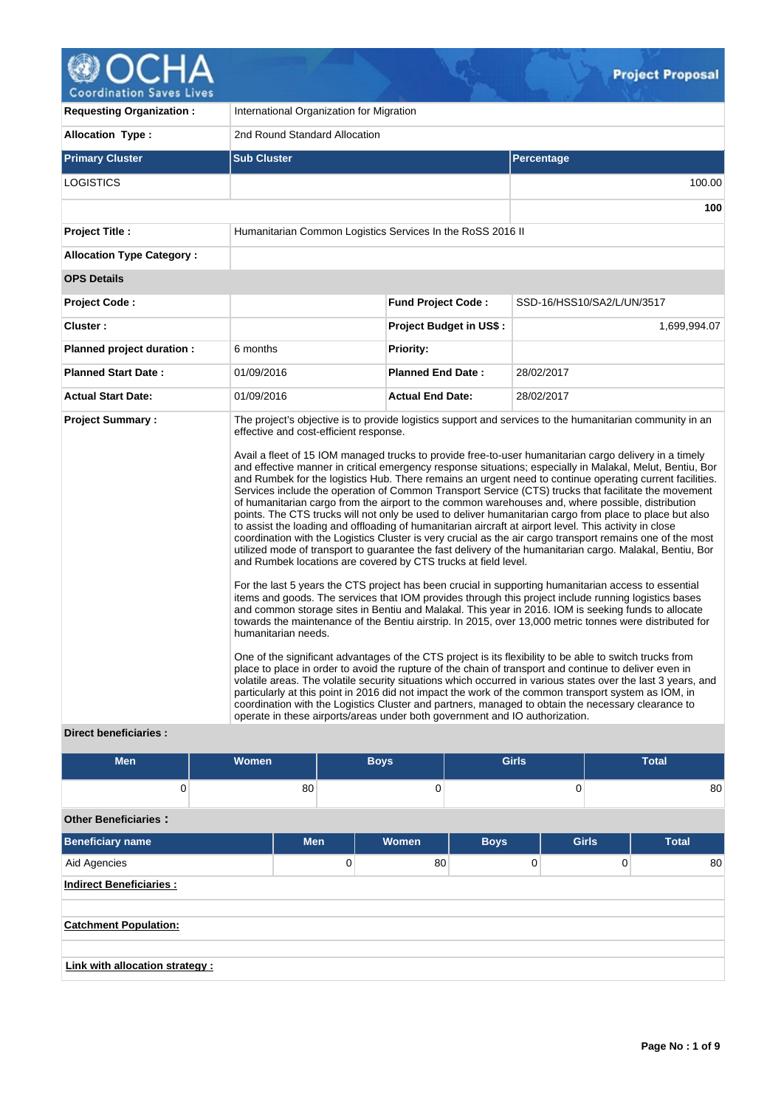# OCHA 0 **Coordination Saves Lives**

٠

| <b>Requesting Organization:</b>                         | International Organization for Migration                                                                                                                                                                       |                                |                                                                                                                                                                                                                                                                                                                                                                                                                                                                                                                                                                                                                                                                                                                                                                                                                                                                                                                                                                                                                                                                                                                                                                                                                                                                                                                                                                                                                                                                                                                                                                                                                                                                                                                                                                                                                                                                                                                                                                                                                                                                                                |  |  |  |  |  |
|---------------------------------------------------------|----------------------------------------------------------------------------------------------------------------------------------------------------------------------------------------------------------------|--------------------------------|------------------------------------------------------------------------------------------------------------------------------------------------------------------------------------------------------------------------------------------------------------------------------------------------------------------------------------------------------------------------------------------------------------------------------------------------------------------------------------------------------------------------------------------------------------------------------------------------------------------------------------------------------------------------------------------------------------------------------------------------------------------------------------------------------------------------------------------------------------------------------------------------------------------------------------------------------------------------------------------------------------------------------------------------------------------------------------------------------------------------------------------------------------------------------------------------------------------------------------------------------------------------------------------------------------------------------------------------------------------------------------------------------------------------------------------------------------------------------------------------------------------------------------------------------------------------------------------------------------------------------------------------------------------------------------------------------------------------------------------------------------------------------------------------------------------------------------------------------------------------------------------------------------------------------------------------------------------------------------------------------------------------------------------------------------------------------------------------|--|--|--|--|--|
| <b>Allocation Type:</b>                                 | 2nd Round Standard Allocation                                                                                                                                                                                  |                                |                                                                                                                                                                                                                                                                                                                                                                                                                                                                                                                                                                                                                                                                                                                                                                                                                                                                                                                                                                                                                                                                                                                                                                                                                                                                                                                                                                                                                                                                                                                                                                                                                                                                                                                                                                                                                                                                                                                                                                                                                                                                                                |  |  |  |  |  |
| <b>Primary Cluster</b>                                  | <b>Sub Cluster</b>                                                                                                                                                                                             |                                | <b>Percentage</b>                                                                                                                                                                                                                                                                                                                                                                                                                                                                                                                                                                                                                                                                                                                                                                                                                                                                                                                                                                                                                                                                                                                                                                                                                                                                                                                                                                                                                                                                                                                                                                                                                                                                                                                                                                                                                                                                                                                                                                                                                                                                              |  |  |  |  |  |
| <b>LOGISTICS</b>                                        |                                                                                                                                                                                                                |                                | 100.00                                                                                                                                                                                                                                                                                                                                                                                                                                                                                                                                                                                                                                                                                                                                                                                                                                                                                                                                                                                                                                                                                                                                                                                                                                                                                                                                                                                                                                                                                                                                                                                                                                                                                                                                                                                                                                                                                                                                                                                                                                                                                         |  |  |  |  |  |
|                                                         |                                                                                                                                                                                                                |                                | 100                                                                                                                                                                                                                                                                                                                                                                                                                                                                                                                                                                                                                                                                                                                                                                                                                                                                                                                                                                                                                                                                                                                                                                                                                                                                                                                                                                                                                                                                                                                                                                                                                                                                                                                                                                                                                                                                                                                                                                                                                                                                                            |  |  |  |  |  |
| <b>Project Title:</b>                                   | Humanitarian Common Logistics Services In the RoSS 2016 II                                                                                                                                                     |                                |                                                                                                                                                                                                                                                                                                                                                                                                                                                                                                                                                                                                                                                                                                                                                                                                                                                                                                                                                                                                                                                                                                                                                                                                                                                                                                                                                                                                                                                                                                                                                                                                                                                                                                                                                                                                                                                                                                                                                                                                                                                                                                |  |  |  |  |  |
| <b>Allocation Type Category:</b>                        |                                                                                                                                                                                                                |                                |                                                                                                                                                                                                                                                                                                                                                                                                                                                                                                                                                                                                                                                                                                                                                                                                                                                                                                                                                                                                                                                                                                                                                                                                                                                                                                                                                                                                                                                                                                                                                                                                                                                                                                                                                                                                                                                                                                                                                                                                                                                                                                |  |  |  |  |  |
| <b>OPS Details</b>                                      |                                                                                                                                                                                                                |                                |                                                                                                                                                                                                                                                                                                                                                                                                                                                                                                                                                                                                                                                                                                                                                                                                                                                                                                                                                                                                                                                                                                                                                                                                                                                                                                                                                                                                                                                                                                                                                                                                                                                                                                                                                                                                                                                                                                                                                                                                                                                                                                |  |  |  |  |  |
| <b>Project Code:</b>                                    |                                                                                                                                                                                                                | <b>Fund Project Code:</b>      | SSD-16/HSS10/SA2/L/UN/3517                                                                                                                                                                                                                                                                                                                                                                                                                                                                                                                                                                                                                                                                                                                                                                                                                                                                                                                                                                                                                                                                                                                                                                                                                                                                                                                                                                                                                                                                                                                                                                                                                                                                                                                                                                                                                                                                                                                                                                                                                                                                     |  |  |  |  |  |
| Cluster:                                                |                                                                                                                                                                                                                | <b>Project Budget in US\$:</b> | 1,699,994.07                                                                                                                                                                                                                                                                                                                                                                                                                                                                                                                                                                                                                                                                                                                                                                                                                                                                                                                                                                                                                                                                                                                                                                                                                                                                                                                                                                                                                                                                                                                                                                                                                                                                                                                                                                                                                                                                                                                                                                                                                                                                                   |  |  |  |  |  |
| Planned project duration :                              | 6 months                                                                                                                                                                                                       | <b>Priority:</b>               |                                                                                                                                                                                                                                                                                                                                                                                                                                                                                                                                                                                                                                                                                                                                                                                                                                                                                                                                                                                                                                                                                                                                                                                                                                                                                                                                                                                                                                                                                                                                                                                                                                                                                                                                                                                                                                                                                                                                                                                                                                                                                                |  |  |  |  |  |
| <b>Planned Start Date:</b>                              | 01/09/2016                                                                                                                                                                                                     | <b>Planned End Date:</b>       | 28/02/2017                                                                                                                                                                                                                                                                                                                                                                                                                                                                                                                                                                                                                                                                                                                                                                                                                                                                                                                                                                                                                                                                                                                                                                                                                                                                                                                                                                                                                                                                                                                                                                                                                                                                                                                                                                                                                                                                                                                                                                                                                                                                                     |  |  |  |  |  |
| <b>Actual Start Date:</b>                               | 01/09/2016                                                                                                                                                                                                     | <b>Actual End Date:</b>        | 28/02/2017                                                                                                                                                                                                                                                                                                                                                                                                                                                                                                                                                                                                                                                                                                                                                                                                                                                                                                                                                                                                                                                                                                                                                                                                                                                                                                                                                                                                                                                                                                                                                                                                                                                                                                                                                                                                                                                                                                                                                                                                                                                                                     |  |  |  |  |  |
| <b>Project Summary:</b><br><b>Direct beneficiaries:</b> | effective and cost-efficient response.<br>and Rumbek locations are covered by CTS trucks at field level.<br>humanitarian needs.<br>operate in these airports/areas under both government and IO authorization. |                                | The project's objective is to provide logistics support and services to the humanitarian community in an<br>Avail a fleet of 15 IOM managed trucks to provide free-to-user humanitarian cargo delivery in a timely<br>and effective manner in critical emergency response situations; especially in Malakal, Melut, Bentiu, Bor<br>and Rumbek for the logistics Hub. There remains an urgent need to continue operating current facilities.<br>Services include the operation of Common Transport Service (CTS) trucks that facilitate the movement<br>of humanitarian cargo from the airport to the common warehouses and, where possible, distribution<br>points. The CTS trucks will not only be used to deliver humanitarian cargo from place to place but also<br>to assist the loading and offloading of humanitarian aircraft at airport level. This activity in close<br>coordination with the Logistics Cluster is very crucial as the air cargo transport remains one of the most<br>utilized mode of transport to guarantee the fast delivery of the humanitarian cargo. Malakal, Bentiu, Bor<br>For the last 5 years the CTS project has been crucial in supporting humanitarian access to essential<br>items and goods. The services that IOM provides through this project include running logistics bases<br>and common storage sites in Bentiu and Malakal. This year in 2016. IOM is seeking funds to allocate<br>towards the maintenance of the Bentiu airstrip. In 2015, over 13,000 metric tonnes were distributed for<br>One of the significant advantages of the CTS project is its flexibility to be able to switch trucks from<br>place to place in order to avoid the rupture of the chain of transport and continue to deliver even in<br>volatile areas. The volatile security situations which occurred in various states over the last 3 years, and<br>particularly at this point in 2016 did not impact the work of the common transport system as IOM, in<br>coordination with the Logistics Cluster and partners, managed to obtain the necessary clearance to |  |  |  |  |  |

| <b>Men</b>                      | <b>Women</b> |            | <b>Boys</b> | <b>Girls</b> |              | <b>Total</b> |
|---------------------------------|--------------|------------|-------------|--------------|--------------|--------------|
| 0                               |              | 80         | 0           |              | 0            | 80           |
| <b>Other Beneficiaries:</b>     |              |            |             |              |              |              |
| <b>Beneficiary name</b>         |              | <b>Men</b> | Women       | <b>Boys</b>  | <b>Girls</b> | <b>Total</b> |
| Aid Agencies                    |              | 0          | 80          | 0            | $\Omega$     | 80           |
| <b>Indirect Beneficiaries:</b>  |              |            |             |              |              |              |
| <b>Catchment Population:</b>    |              |            |             |              |              |              |
| Link with allocation strategy : |              |            |             |              |              |              |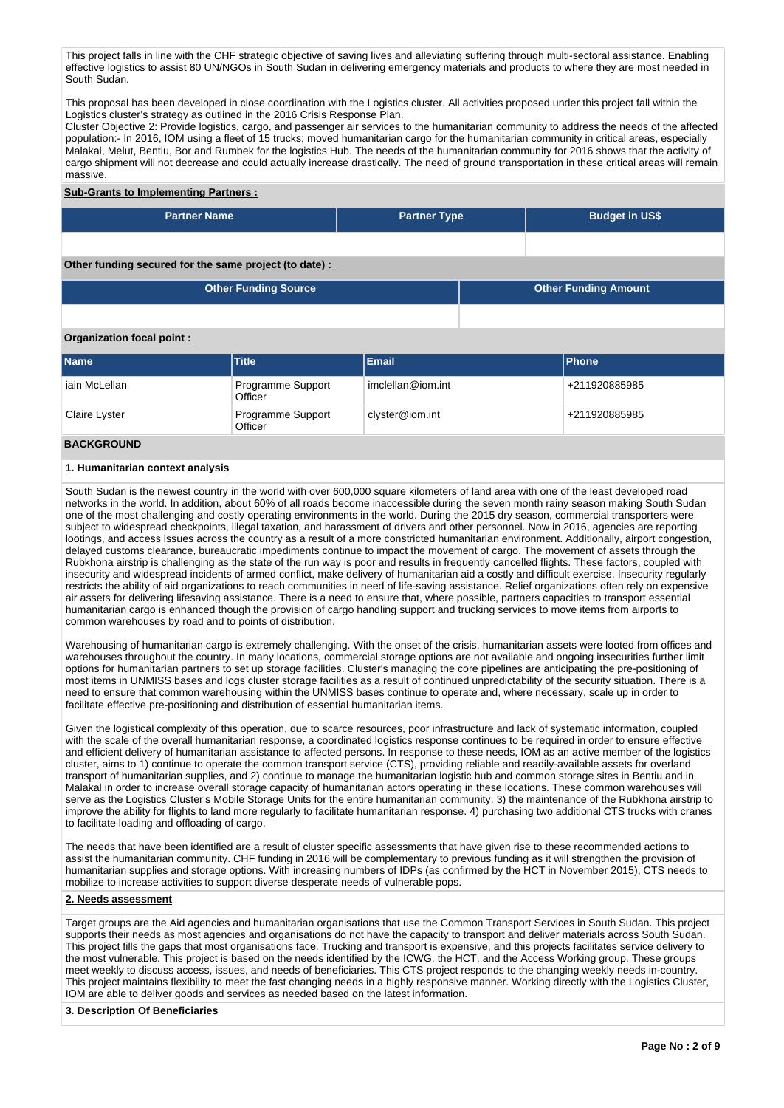This project falls in line with the CHF strategic objective of saving lives and alleviating suffering through multi-sectoral assistance. Enabling effective logistics to assist 80 UN/NGOs in South Sudan in delivering emergency materials and products to where they are most needed in South Sudan.

This proposal has been developed in close coordination with the Logistics cluster. All activities proposed under this project fall within the Logistics cluster's strategy as outlined in the 2016 Crisis Response Plan.

Cluster Objective 2: Provide logistics, cargo, and passenger air services to the humanitarian community to address the needs of the affected population:- In 2016, IOM using a fleet of 15 trucks; moved humanitarian cargo for the humanitarian community in critical areas, especially Malakal, Melut, Bentiu, Bor and Rumbek for the logistics Hub. The needs of the humanitarian community for 2016 shows that the activity of cargo shipment will not decrease and could actually increase drastically. The need of ground transportation in these critical areas will remain massive.

## **Sub-Grants to Implementing Partners :**

| <b>Partner Name</b>                                   | <b>Partner Type</b> | <b>Budget in US\$</b>       |  |
|-------------------------------------------------------|---------------------|-----------------------------|--|
|                                                       |                     |                             |  |
|                                                       |                     |                             |  |
|                                                       |                     |                             |  |
| Other funding secured for the same project (to date): |                     |                             |  |
|                                                       |                     |                             |  |
| <b>Other Funding Source</b>                           |                     | <b>Other Funding Amount</b> |  |

### **Organization focal point :**

| <b>Name</b>   | Title                        | Email             | <b>Phone</b>  |
|---------------|------------------------------|-------------------|---------------|
| iain McLellan | Programme Support<br>Officer | imclellan@iom.int | +211920885985 |
| Claire Lyster | Programme Support<br>Officer | clyster@iom.int   | +211920885985 |

## **BACKGROUND**

## **1. Humanitarian context analysis**

South Sudan is the newest country in the world with over 600,000 square kilometers of land area with one of the least developed road networks in the world. In addition, about 60% of all roads become inaccessible during the seven month rainy season making South Sudan one of the most challenging and costly operating environments in the world. During the 2015 dry season, commercial transporters were subject to widespread checkpoints, illegal taxation, and harassment of drivers and other personnel. Now in 2016, agencies are reporting lootings, and access issues across the country as a result of a more constricted humanitarian environment. Additionally, airport congestion, delayed customs clearance, bureaucratic impediments continue to impact the movement of cargo. The movement of assets through the Rubkhona airstrip is challenging as the state of the run way is poor and results in frequently cancelled flights. These factors, coupled with insecurity and widespread incidents of armed conflict, make delivery of humanitarian aid a costly and difficult exercise. Insecurity regularly restricts the ability of aid organizations to reach communities in need of life-saving assistance. Relief organizations often rely on expensive air assets for delivering lifesaving assistance. There is a need to ensure that, where possible, partners capacities to transport essential humanitarian cargo is enhanced though the provision of cargo handling support and trucking services to move items from airports to common warehouses by road and to points of distribution.

Warehousing of humanitarian cargo is extremely challenging. With the onset of the crisis, humanitarian assets were looted from offices and warehouses throughout the country. In many locations, commercial storage options are not available and ongoing insecurities further limit options for humanitarian partners to set up storage facilities. Cluster's managing the core pipelines are anticipating the pre-positioning of most items in UNMISS bases and logs cluster storage facilities as a result of continued unpredictability of the security situation. There is a need to ensure that common warehousing within the UNMISS bases continue to operate and, where necessary, scale up in order to facilitate effective pre-positioning and distribution of essential humanitarian items.

Given the logistical complexity of this operation, due to scarce resources, poor infrastructure and lack of systematic information, coupled with the scale of the overall humanitarian response, a coordinated logistics response continues to be required in order to ensure effective and efficient delivery of humanitarian assistance to affected persons. In response to these needs, IOM as an active member of the logistics cluster, aims to 1) continue to operate the common transport service (CTS), providing reliable and readily-available assets for overland transport of humanitarian supplies, and 2) continue to manage the humanitarian logistic hub and common storage sites in Bentiu and in Malakal in order to increase overall storage capacity of humanitarian actors operating in these locations. These common warehouses will serve as the Logistics Cluster's Mobile Storage Units for the entire humanitarian community. 3) the maintenance of the Rubkhona airstrip to improve the ability for flights to land more regularly to facilitate humanitarian response. 4) purchasing two additional CTS trucks with cranes to facilitate loading and offloading of cargo.

The needs that have been identified are a result of cluster specific assessments that have given rise to these recommended actions to assist the humanitarian community. CHF funding in 2016 will be complementary to previous funding as it will strengthen the provision of humanitarian supplies and storage options. With increasing numbers of IDPs (as confirmed by the HCT in November 2015), CTS needs to mobilize to increase activities to support diverse desperate needs of vulnerable pops.

## **2. Needs assessment**

Target groups are the Aid agencies and humanitarian organisations that use the Common Transport Services in South Sudan. This project supports their needs as most agencies and organisations do not have the capacity to transport and deliver materials across South Sudan. This project fills the gaps that most organisations face. Trucking and transport is expensive, and this projects facilitates service delivery to the most vulnerable. This project is based on the needs identified by the ICWG, the HCT, and the Access Working group. These groups meet weekly to discuss access, issues, and needs of beneficiaries. This CTS project responds to the changing weekly needs in-country. This project maintains flexibility to meet the fast changing needs in a highly responsive manner. Working directly with the Logistics Cluster, IOM are able to deliver goods and services as needed based on the latest information.

### **3. Description Of Beneficiaries**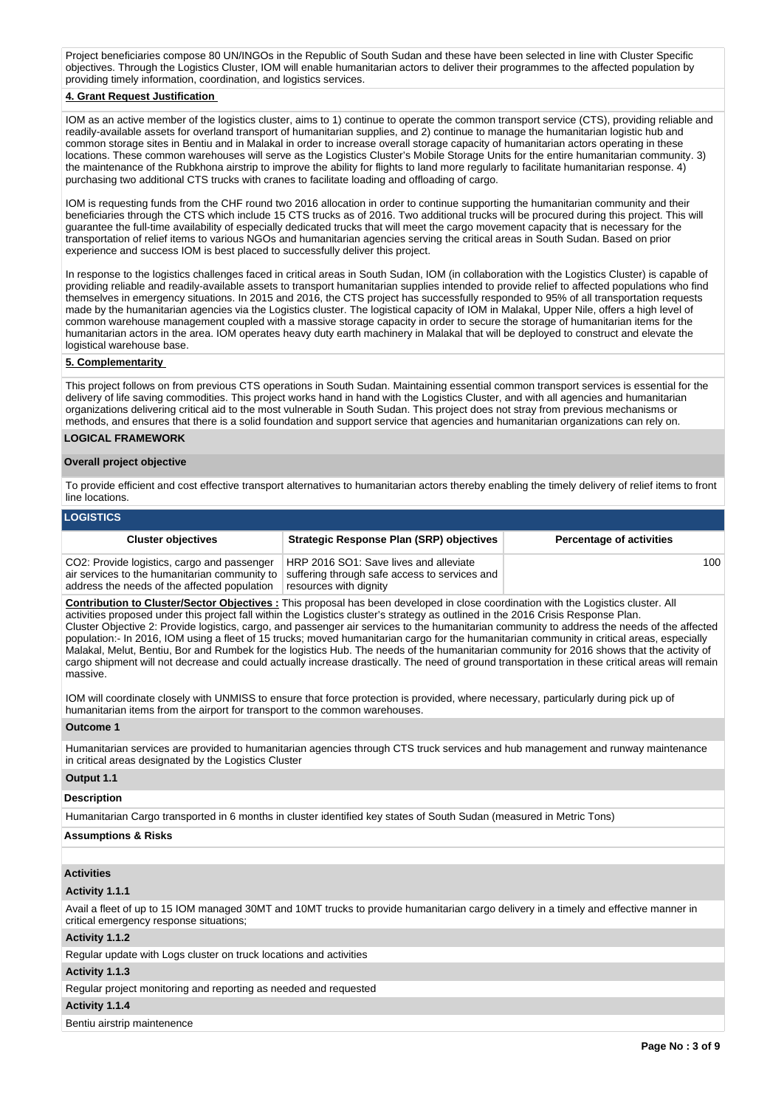Project beneficiaries compose 80 UN/INGOs in the Republic of South Sudan and these have been selected in line with Cluster Specific objectives. Through the Logistics Cluster, IOM will enable humanitarian actors to deliver their programmes to the affected population by providing timely information, coordination, and logistics services.

## **4. Grant Request Justification**

IOM as an active member of the logistics cluster, aims to 1) continue to operate the common transport service (CTS), providing reliable and readily-available assets for overland transport of humanitarian supplies, and 2) continue to manage the humanitarian logistic hub and common storage sites in Bentiu and in Malakal in order to increase overall storage capacity of humanitarian actors operating in these locations. These common warehouses will serve as the Logistics Cluster's Mobile Storage Units for the entire humanitarian community. 3) the maintenance of the Rubkhona airstrip to improve the ability for flights to land more regularly to facilitate humanitarian response. 4) purchasing two additional CTS trucks with cranes to facilitate loading and offloading of cargo.

IOM is requesting funds from the CHF round two 2016 allocation in order to continue supporting the humanitarian community and their beneficiaries through the CTS which include 15 CTS trucks as of 2016. Two additional trucks will be procured during this project. This will guarantee the full-time availability of especially dedicated trucks that will meet the cargo movement capacity that is necessary for the transportation of relief items to various NGOs and humanitarian agencies serving the critical areas in South Sudan. Based on prior experience and success IOM is best placed to successfully deliver this project.

In response to the logistics challenges faced in critical areas in South Sudan, IOM (in collaboration with the Logistics Cluster) is capable of providing reliable and readily-available assets to transport humanitarian supplies intended to provide relief to affected populations who find themselves in emergency situations. In 2015 and 2016, the CTS project has successfully responded to 95% of all transportation requests made by the humanitarian agencies via the Logistics cluster. The logistical capacity of IOM in Malakal, Upper Nile, offers a high level of common warehouse management coupled with a massive storage capacity in order to secure the storage of humanitarian items for the humanitarian actors in the area. IOM operates heavy duty earth machinery in Malakal that will be deployed to construct and elevate the logistical warehouse base.

#### **5. Complementarity**

This project follows on from previous CTS operations in South Sudan. Maintaining essential common transport services is essential for the delivery of life saving commodities. This project works hand in hand with the Logistics Cluster, and with all agencies and humanitarian organizations delivering critical aid to the most vulnerable in South Sudan. This project does not stray from previous mechanisms or methods, and ensures that there is a solid foundation and support service that agencies and humanitarian organizations can rely on.

#### **LOGICAL FRAMEWORK**

#### **Overall project objective**

To provide efficient and cost effective transport alternatives to humanitarian actors thereby enabling the timely delivery of relief items to front line locations.

#### **LOGISTICS**

| <b>Cluster objectives</b>                                                                                                                    | <b>Strategic Response Plan (SRP) objectives</b>                                                                   | <b>Percentage of activities</b> |
|----------------------------------------------------------------------------------------------------------------------------------------------|-------------------------------------------------------------------------------------------------------------------|---------------------------------|
| CO2: Provide logistics, cargo and passenger<br>air services to the humanitarian community to<br>address the needs of the affected population | HRP 2016 SO1: Save lives and alleviate<br>suffering through safe access to services and<br>resources with dignity | 100                             |

**Contribution to Cluster/Sector Objectives :** This proposal has been developed in close coordination with the Logistics cluster. All activities proposed under this project fall within the Logistics cluster's strategy as outlined in the 2016 Crisis Response Plan. Cluster Objective 2: Provide logistics, cargo, and passenger air services to the humanitarian community to address the needs of the affected population:- In 2016, IOM using a fleet of 15 trucks; moved humanitarian cargo for the humanitarian community in critical areas, especially Malakal, Melut, Bentiu, Bor and Rumbek for the logistics Hub. The needs of the humanitarian community for 2016 shows that the activity of cargo shipment will not decrease and could actually increase drastically. The need of ground transportation in these critical areas will remain massive.

IOM will coordinate closely with UNMISS to ensure that force protection is provided, where necessary, particularly during pick up of humanitarian items from the airport for transport to the common warehouses.

#### **Outcome 1**

Humanitarian services are provided to humanitarian agencies through CTS truck services and hub management and runway maintenance in critical areas designated by the Logistics Cluster

#### **Output 1.1**

## **Description**

Humanitarian Cargo transported in 6 months in cluster identified key states of South Sudan (measured in Metric Tons)

#### **Assumptions & Risks**

## **Activities**

### **Activity 1.1.1**

Avail a fleet of up to 15 IOM managed 30MT and 10MT trucks to provide humanitarian cargo delivery in a timely and effective manner in critical emergency response situations;

#### **Activity 1.1.2**

Regular update with Logs cluster on truck locations and activities

### **Activity 1.1.3**

Regular project monitoring and reporting as needed and requested

#### **Activity 1.1.4**

Bentiu airstrip maintenence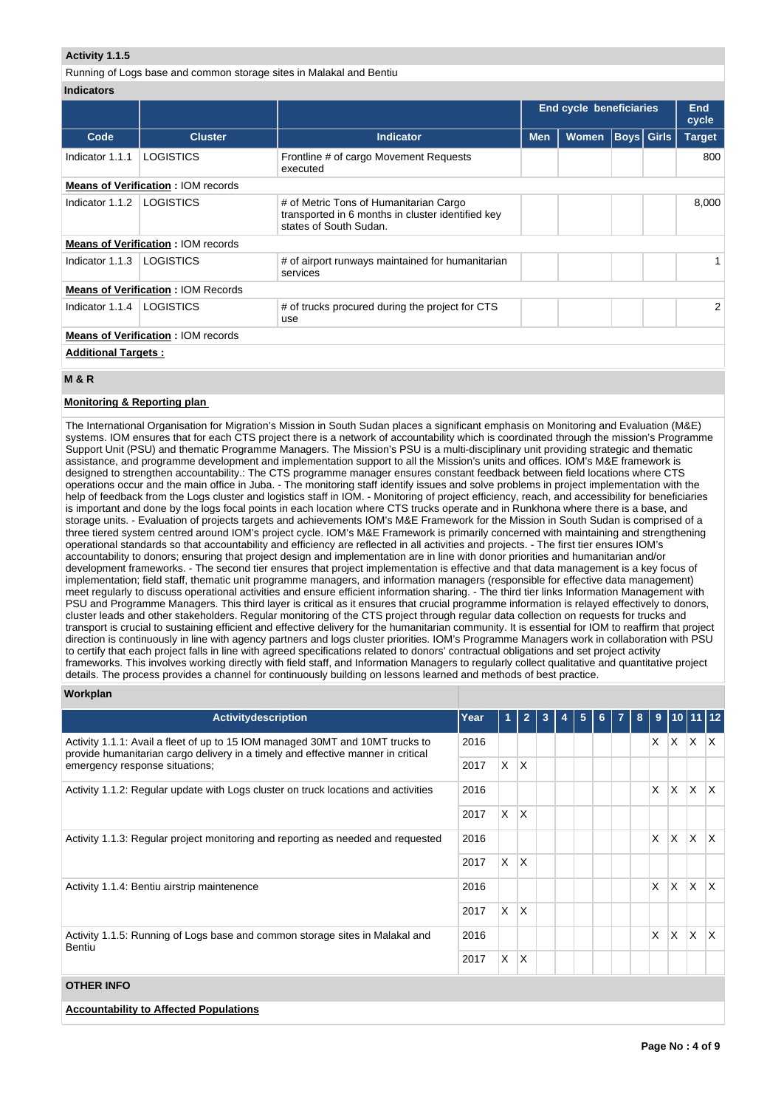## **Activity 1.1.5**

Running of Logs base and common storage sites in Malakal and Bentiu **Indicators**

|                            |                                           |                                                                                                                       | <b>End cycle beneficiaries</b> |                   |               |  | End<br>cycle |
|----------------------------|-------------------------------------------|-----------------------------------------------------------------------------------------------------------------------|--------------------------------|-------------------|---------------|--|--------------|
| Code                       | <b>Cluster</b>                            | <b>Indicator</b>                                                                                                      | <b>Men</b>                     | <b>Boys Girls</b> | <b>Target</b> |  |              |
| Indicator 1.1.1            | <b>LOGISTICS</b>                          | Frontline # of cargo Movement Requests<br>executed                                                                    |                                |                   |               |  | 800          |
|                            | <b>Means of Verification: IOM records</b> |                                                                                                                       |                                |                   |               |  |              |
| Indicator $1.1.2$          | <b>LOGISTICS</b>                          | # of Metric Tons of Humanitarian Cargo<br>transported in 6 months in cluster identified key<br>states of South Sudan. |                                |                   |               |  | 8,000        |
|                            | <b>Means of Verification: IOM records</b> |                                                                                                                       |                                |                   |               |  |              |
| Indicator 1.1.3            | LOGISTICS                                 | # of airport runways maintained for humanitarian<br>services                                                          |                                |                   |               |  |              |
|                            | <b>Means of Verification: IOM Records</b> |                                                                                                                       |                                |                   |               |  |              |
| Indicator 1.1.4            | LOGISTICS                                 | # of trucks procured during the project for CTS<br>use                                                                |                                |                   |               |  | 2            |
|                            | <b>Means of Verification: IOM records</b> |                                                                                                                       |                                |                   |               |  |              |
| <b>Additional Targets:</b> |                                           |                                                                                                                       |                                |                   |               |  |              |

## **M & R**

## **Monitoring & Reporting plan**

The International Organisation for Migration's Mission in South Sudan places a significant emphasis on Monitoring and Evaluation (M&E) systems. IOM ensures that for each CTS project there is a network of accountability which is coordinated through the mission's Programme Support Unit (PSU) and thematic Programme Managers. The Mission's PSU is a multi-disciplinary unit providing strategic and thematic assistance, and programme development and implementation support to all the Mission's units and offices. IOM's M&E framework is designed to strengthen accountability.: The CTS programme manager ensures constant feedback between field locations where CTS operations occur and the main office in Juba. - The monitoring staff identify issues and solve problems in project implementation with the help of feedback from the Logs cluster and logistics staff in IOM. - Monitoring of project efficiency, reach, and accessibility for beneficiaries is important and done by the logs focal points in each location where CTS trucks operate and in Runkhona where there is a base, and storage units. - Evaluation of projects targets and achievements IOM's M&E Framework for the Mission in South Sudan is comprised of a three tiered system centred around IOM's project cycle. IOM's M&E Framework is primarily concerned with maintaining and strengthening operational standards so that accountability and efficiency are reflected in all activities and projects. - The first tier ensures IOM's accountability to donors; ensuring that project design and implementation are in line with donor priorities and humanitarian and/or development frameworks. - The second tier ensures that project implementation is effective and that data management is a key focus of implementation; field staff, thematic unit programme managers, and information managers (responsible for effective data management) meet regularly to discuss operational activities and ensure efficient information sharing. - The third tier links Information Management with PSU and Programme Managers. This third layer is critical as it ensures that crucial programme information is relayed effectively to donors, cluster leads and other stakeholders. Regular monitoring of the CTS project through regular data collection on requests for trucks and transport is crucial to sustaining efficient and effective delivery for the humanitarian community. It is essential for IOM to reaffirm that project direction is continuously in line with agency partners and logs cluster priorities. IOM's Programme Managers work in collaboration with PSU to certify that each project falls in line with agreed specifications related to donors' contractual obligations and set project activity frameworks. This involves working directly with field staff, and Information Managers to regularly collect qualitative and quantitative project details. The process provides a channel for continuously building on lessons learned and methods of best practice.

### **Workplan**

| Activitydescription                                                                                                                                               | Year | 1        | $\overline{2}$ | 3 | 5 | 6 | 8 | 9            |    | 1011112     |                         |
|-------------------------------------------------------------------------------------------------------------------------------------------------------------------|------|----------|----------------|---|---|---|---|--------------|----|-------------|-------------------------|
| Activity 1.1.1: Avail a fleet of up to 15 IOM managed 30MT and 10MT trucks to<br>provide humanitarian cargo delivery in a timely and effective manner in critical | 2016 |          |                |   |   |   |   | X.           |    | $X$ $X$ $X$ |                         |
| emergency response situations;                                                                                                                                    | 2017 | X.       | X.             |   |   |   |   |              |    |             |                         |
| Activity 1.1.2: Regular update with Logs cluster on truck locations and activities                                                                                | 2016 |          |                |   |   |   |   | $\mathsf{X}$ | X. | IX.         | $\mathsf{X}$            |
|                                                                                                                                                                   | 2017 | X.       | X.             |   |   |   |   |              |    |             |                         |
| Activity 1.1.3: Regular project monitoring and reporting as needed and requested                                                                                  | 2016 |          |                |   |   |   |   | $\mathsf{X}$ | X. | IX.         | $\mathsf{X}$            |
|                                                                                                                                                                   | 2017 | <b>X</b> | X.             |   |   |   |   |              |    |             |                         |
| Activity 1.1.4: Bentiu airstrip maintenence                                                                                                                       | 2016 |          |                |   |   |   |   | X            | X. | IX.         | $\mathsf{I} \mathsf{X}$ |
|                                                                                                                                                                   | 2017 | X.       | X.             |   |   |   |   |              |    |             |                         |
| Activity 1.1.5: Running of Logs base and common storage sites in Malakal and<br>Bentiu                                                                            |      |          |                |   |   |   |   | X            | X. | X.          | $\mathsf{I} \mathsf{X}$ |
|                                                                                                                                                                   | 2017 | X.       | X              |   |   |   |   |              |    |             |                         |
| <b>OTHER INFO</b>                                                                                                                                                 |      |          |                |   |   |   |   |              |    |             |                         |

**Accountability to Affected Populations**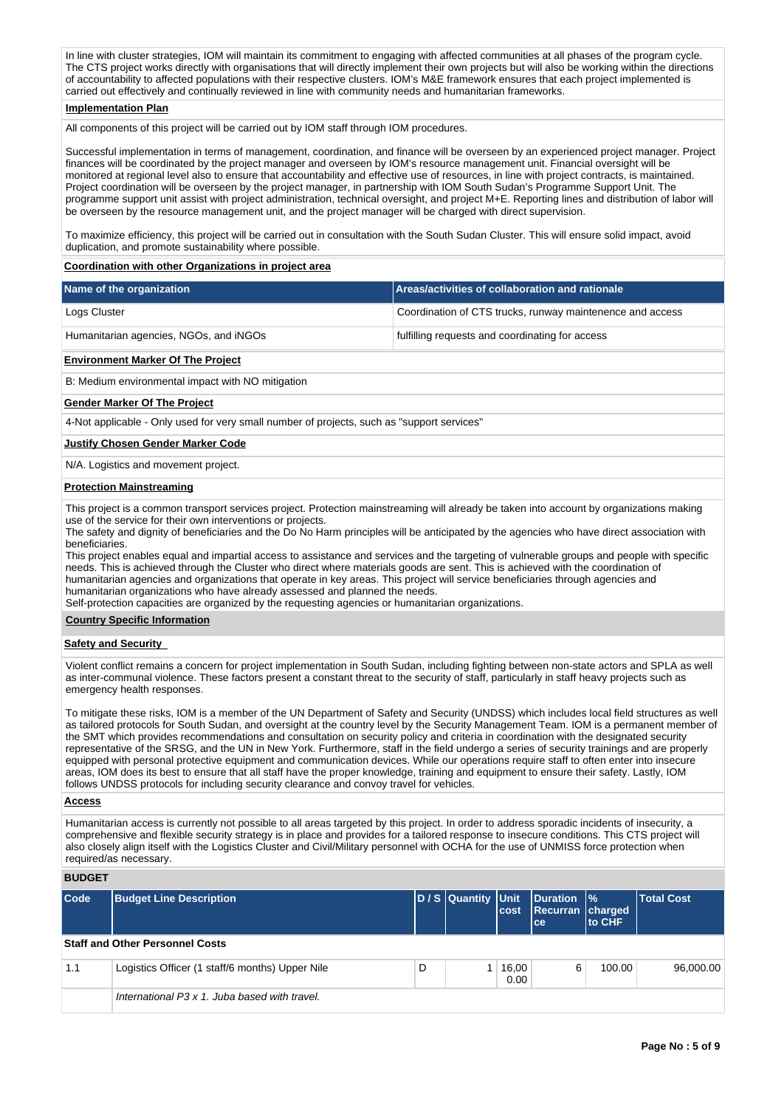In line with cluster strategies, IOM will maintain its commitment to engaging with affected communities at all phases of the program cycle. The CTS project works directly with organisations that will directly implement their own projects but will also be working within the directions of accountability to affected populations with their respective clusters. IOM's M&E framework ensures that each project implemented is carried out effectively and continually reviewed in line with community needs and humanitarian frameworks.

## **Implementation Plan**

All components of this project will be carried out by IOM staff through IOM procedures.

Successful implementation in terms of management, coordination, and finance will be overseen by an experienced project manager. Project finances will be coordinated by the project manager and overseen by IOM's resource management unit. Financial oversight will be monitored at regional level also to ensure that accountability and effective use of resources, in line with project contracts, is maintained. Project coordination will be overseen by the project manager, in partnership with IOM South Sudan's Programme Support Unit. The programme support unit assist with project administration, technical oversight, and project M+E. Reporting lines and distribution of labor will be overseen by the resource management unit, and the project manager will be charged with direct supervision.

To maximize efficiency, this project will be carried out in consultation with the South Sudan Cluster. This will ensure solid impact, avoid duplication, and promote sustainability where possible.

## **Coordination with other Organizations in project area**

| Name of the organization               | Areas/activities of collaboration and rationale           |
|----------------------------------------|-----------------------------------------------------------|
| Logs Cluster                           | Coordination of CTS trucks, runway maintenence and access |
| Humanitarian agencies, NGOs, and iNGOs | fulfilling requests and coordinating for access           |

#### **Environment Marker Of The Project**

B: Medium environmental impact with NO mitigation

#### **Gender Marker Of The Project**

4-Not applicable - Only used for very small number of projects, such as "support services"

#### **Justify Chosen Gender Marker Code**

N/A. Logistics and movement project.

### **Protection Mainstreaming**

This project is a common transport services project. Protection mainstreaming will already be taken into account by organizations making use of the service for their own interventions or projects.

The safety and dignity of beneficiaries and the Do No Harm principles will be anticipated by the agencies who have direct association with beneficiaries.

This project enables equal and impartial access to assistance and services and the targeting of vulnerable groups and people with specific needs. This is achieved through the Cluster who direct where materials goods are sent. This is achieved with the coordination of humanitarian agencies and organizations that operate in key areas. This project will service beneficiaries through agencies and humanitarian organizations who have already assessed and planned the needs.

Self-protection capacities are organized by the requesting agencies or humanitarian organizations.

### **Country Specific Information**

## **Safety and Security**

Violent conflict remains a concern for project implementation in South Sudan, including fighting between non-state actors and SPLA as well as inter-communal violence. These factors present a constant threat to the security of staff, particularly in staff heavy projects such as emergency health responses.

To mitigate these risks, IOM is a member of the UN Department of Safety and Security (UNDSS) which includes local field structures as well as tailored protocols for South Sudan, and oversight at the country level by the Security Management Team. IOM is a permanent member of the SMT which provides recommendations and consultation on security policy and criteria in coordination with the designated security representative of the SRSG, and the UN in New York. Furthermore, staff in the field undergo a series of security trainings and are properly equipped with personal protective equipment and communication devices. While our operations require staff to often enter into insecure areas, IOM does its best to ensure that all staff have the proper knowledge, training and equipment to ensure their safety. Lastly, IOM follows UNDSS protocols for including security clearance and convoy travel for vehicles.

#### **Access**

Humanitarian access is currently not possible to all areas targeted by this project. In order to address sporadic incidents of insecurity, a comprehensive and flexible security strategy is in place and provides for a tailored response to insecure conditions. This CTS project will also closely align itself with the Logistics Cluster and Civil/Military personnel with OCHA for the use of UNMISS force protection when required/as necessary.

#### **BUDGET**

| Code | <b>Budget Line Description</b>                  |   | D / S Quantity Unit | cost          | Duration %<br>Recurran charged<br>lce. | to CHF | <b>Total Cost</b> |
|------|-------------------------------------------------|---|---------------------|---------------|----------------------------------------|--------|-------------------|
|      | <b>Staff and Other Personnel Costs</b>          |   |                     |               |                                        |        |                   |
| 1.1  | Logistics Officer (1 staff/6 months) Upper Nile | D |                     | 16,00<br>0.00 | 6                                      | 100.00 | 96,000,00         |
|      | International P3 x 1. Juba based with travel.   |   |                     |               |                                        |        |                   |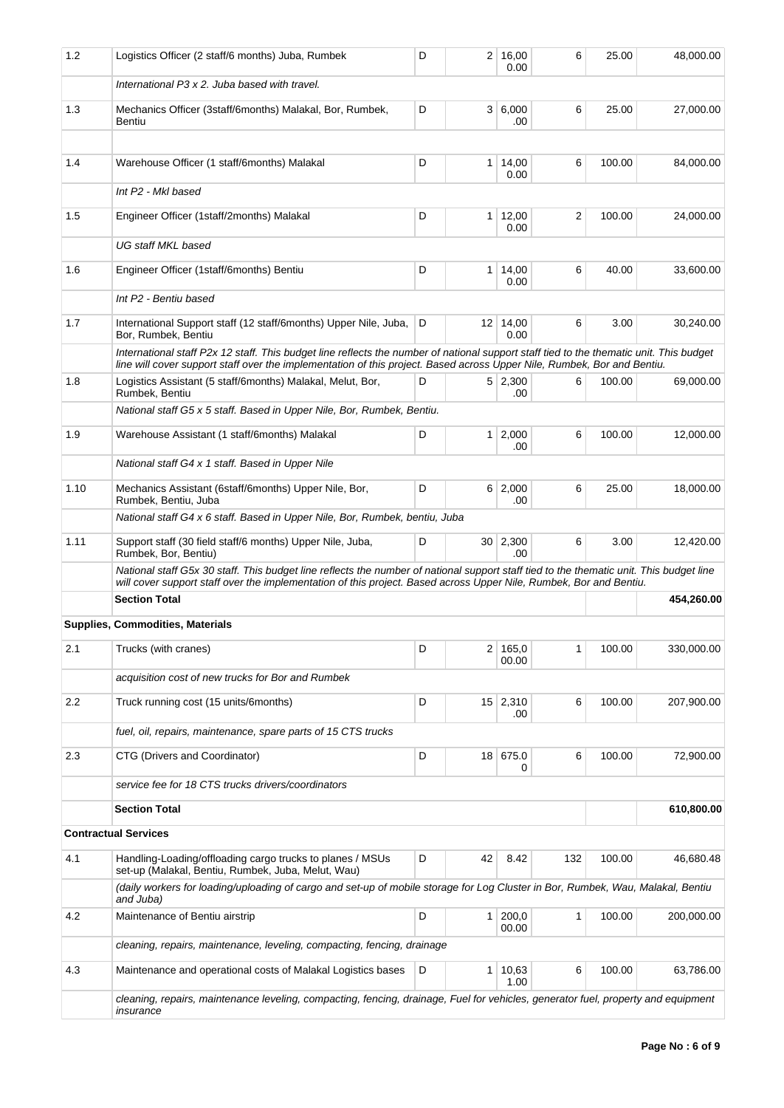| 1.2  | Logistics Officer (2 staff/6 months) Juba, Rumbek                                                                                                                                                                                                                  | D |                | 2 16,00<br>0.00         | 6   | 25.00  | 48,000.00  |
|------|--------------------------------------------------------------------------------------------------------------------------------------------------------------------------------------------------------------------------------------------------------------------|---|----------------|-------------------------|-----|--------|------------|
|      | International P3 x 2. Juba based with travel.                                                                                                                                                                                                                      |   |                |                         |     |        |            |
| 1.3  | Mechanics Officer (3staff/6months) Malakal, Bor, Rumbek,<br>Bentiu                                                                                                                                                                                                 | D |                | 3 6,000<br>.00          | 6   | 25.00  | 27,000.00  |
| 1.4  | Warehouse Officer (1 staff/6months) Malakal                                                                                                                                                                                                                        | D | 1 <sup>1</sup> | 14,00                   | 6   | 100.00 | 84,000.00  |
|      | Int P2 - MkI based                                                                                                                                                                                                                                                 |   |                | 0.00                    |     |        |            |
|      |                                                                                                                                                                                                                                                                    |   |                |                         |     |        |            |
| 1.5  | Engineer Officer (1staff/2months) Malakal                                                                                                                                                                                                                          | D | 1 <sup>1</sup> | 12,00<br>0.00           | 2   | 100.00 | 24,000.00  |
|      | UG staff MKL based                                                                                                                                                                                                                                                 |   |                |                         |     |        |            |
| 1.6  | Engineer Officer (1staff/6months) Bentiu                                                                                                                                                                                                                           | D | 1 <sup>1</sup> | 14,00<br>0.00           | 6   | 40.00  | 33,600.00  |
|      | Int P2 - Bentiu based                                                                                                                                                                                                                                              |   |                |                         |     |        |            |
| 1.7  | International Support staff (12 staff/6months) Upper Nile, Juba,<br>Bor, Rumbek, Bentiu                                                                                                                                                                            | D |                | $12 \mid 14,00$<br>0.00 | 6   | 3.00   | 30,240.00  |
|      | International staff P2x 12 staff. This budget line reflects the number of national support staff tied to the thematic unit. This budget<br>line will cover support staff over the implementation of this project. Based across Upper Nile, Rumbek, Bor and Bentiu. |   |                |                         |     |        |            |
| 1.8  | Logistics Assistant (5 staff/6months) Malakal, Melut, Bor,<br>Rumbek, Bentiu                                                                                                                                                                                       | D |                | 5 2,300<br>.00          | 6   | 100.00 | 69,000.00  |
|      | National staff G5 x 5 staff. Based in Upper Nile, Bor, Rumbek, Bentiu.                                                                                                                                                                                             |   |                |                         |     |        |            |
| 1.9  | Warehouse Assistant (1 staff/6months) Malakal                                                                                                                                                                                                                      | D |                | $1 \mid 2,000$<br>.00   | 6   | 100.00 | 12,000.00  |
|      | National staff G4 x 1 staff. Based in Upper Nile                                                                                                                                                                                                                   |   |                |                         |     |        |            |
| 1.10 | Mechanics Assistant (6staff/6months) Upper Nile, Bor,<br>Rumbek, Bentiu, Juba                                                                                                                                                                                      | D |                | 6 2,000<br>.00          | 6   | 25.00  | 18,000.00  |
|      | National staff G4 x 6 staff. Based in Upper Nile, Bor, Rumbek, bentiu, Juba                                                                                                                                                                                        |   |                |                         |     |        |            |
| 1.11 | Support staff (30 field staff/6 months) Upper Nile, Juba,<br>Rumbek, Bor, Bentiu)                                                                                                                                                                                  | D |                | 30   2,300<br>.00       | 6   | 3.00   | 12,420.00  |
|      | National staff G5x 30 staff. This budget line reflects the number of national support staff tied to the thematic unit. This budget line<br>will cover support staff over the implementation of this project. Based across Upper Nile, Rumbek, Bor and Bentiu.      |   |                |                         |     |        |            |
|      | <b>Section Total</b>                                                                                                                                                                                                                                               |   |                |                         |     |        | 454,260.00 |
|      | <b>Supplies, Commodities, Materials</b>                                                                                                                                                                                                                            |   |                |                         |     |        |            |
| 2.1  | Trucks (with cranes)                                                                                                                                                                                                                                               | D | 2 <sup>1</sup> | 165,0<br>00.00          | 1   | 100.00 | 330,000.00 |
|      | acquisition cost of new trucks for Bor and Rumbek                                                                                                                                                                                                                  |   |                |                         |     |        |            |
| 2.2  | Truck running cost (15 units/6months)                                                                                                                                                                                                                              | D |                | $15 \mid 2,310$<br>.00  | 6   | 100.00 | 207,900.00 |
|      | fuel, oil, repairs, maintenance, spare parts of 15 CTS trucks                                                                                                                                                                                                      |   |                |                         |     |        |            |
| 2.3  | CTG (Drivers and Coordinator)                                                                                                                                                                                                                                      | D | 18             | 675.0<br>0              | 6   | 100.00 | 72,900.00  |
|      | service fee for 18 CTS trucks drivers/coordinators                                                                                                                                                                                                                 |   |                |                         |     |        |            |
|      | <b>Section Total</b>                                                                                                                                                                                                                                               |   |                |                         |     |        | 610,800.00 |
|      | <b>Contractual Services</b>                                                                                                                                                                                                                                        |   |                |                         |     |        |            |
| 4.1  | Handling-Loading/offloading cargo trucks to planes / MSUs<br>set-up (Malakal, Bentiu, Rumbek, Juba, Melut, Wau)                                                                                                                                                    | D | 42             | 8.42                    | 132 | 100.00 | 46,680.48  |
|      | (daily workers for loading/uploading of cargo and set-up of mobile storage for Log Cluster in Bor, Rumbek, Wau, Malakal, Bentiu<br>and Juba)                                                                                                                       |   |                |                         |     |        |            |
| 4.2  | Maintenance of Bentiu airstrip                                                                                                                                                                                                                                     | D | 1 <sup>1</sup> | 200,0<br>00.00          | 1   | 100.00 | 200,000.00 |
|      | cleaning, repairs, maintenance, leveling, compacting, fencing, drainage                                                                                                                                                                                            |   |                |                         |     |        |            |
| 4.3  | Maintenance and operational costs of Malakal Logistics bases                                                                                                                                                                                                       | D | 1 <sup>1</sup> | 10,63<br>1.00           | 6   | 100.00 | 63,786.00  |
|      | cleaning, repairs, maintenance leveling, compacting, fencing, drainage, Fuel for vehicles, generator fuel, property and equipment<br>insurance                                                                                                                     |   |                |                         |     |        |            |